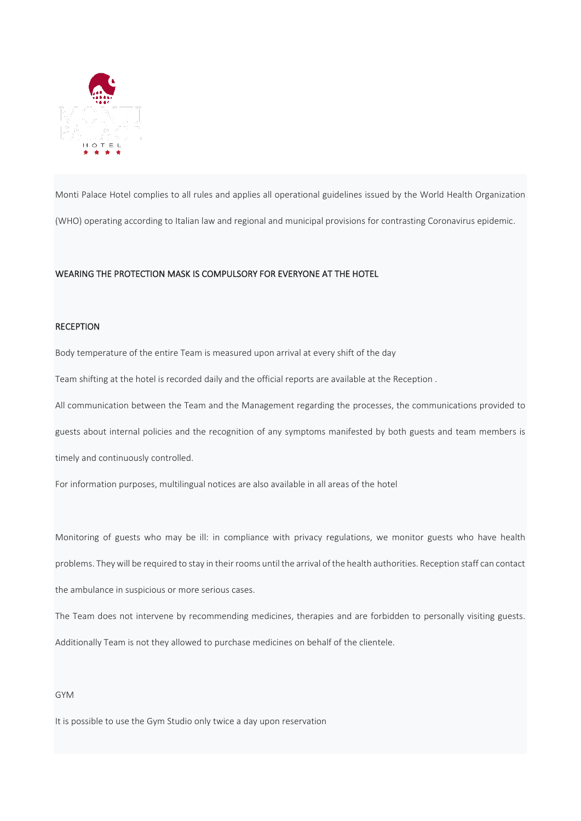

Monti Palace Hotel complies to all rules and applies all operational guidelines issued by the World Health Organization (WHO) operating according to Italian law and regional and municipal provisions for contrasting Coronavirus epidemic.

## WEARING THE PROTECTION MASK IS COMPULSORY FOR EVERYONE AT THE HOTEL

# **RECEPTION**

Body temperature of the entire Team is measured upon arrival at every shift of the day

Team shifting at the hotel is recorded daily and the official reports are available at the Reception .

All communication between the Team and the Management regarding the processes, the communications provided to guests about internal policies and the recognition of any symptoms manifested by both guests and team members is timely and continuously controlled.

For information purposes, multilingual notices are also available in all areas of the hotel

Monitoring of guests who may be ill: in compliance with privacy regulations, we monitor guests who have health problems. Theywill be required to stay in their rooms until the arrival of the health authorities. Reception staff can contact the ambulance in suspicious or more serious cases.

The Team does not intervene by recommending medicines, therapies and are forbidden to personally visiting guests. Additionally Team is not they allowed to purchase medicines on behalf of the clientele.

#### GYM

It is possible to use the Gym Studio only twice a day upon reservation